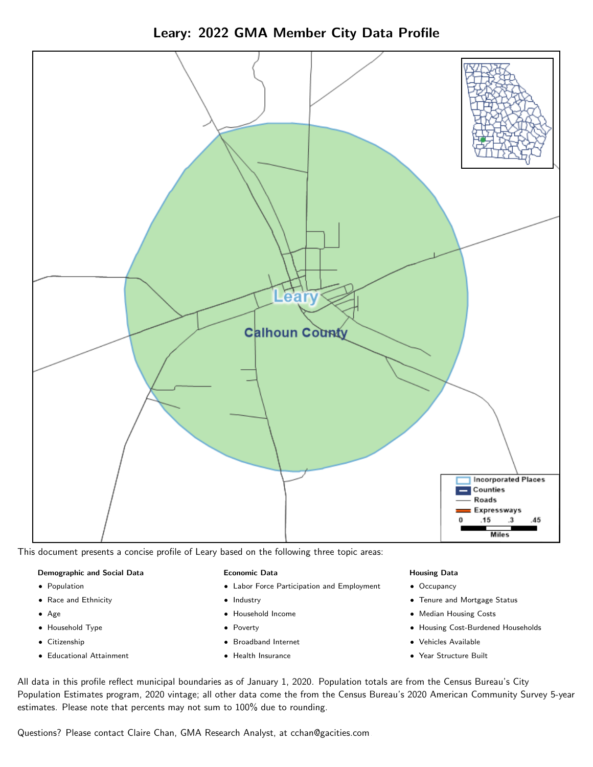



This document presents a concise profile of Leary based on the following three topic areas:

#### Demographic and Social Data

- **•** Population
- Race and Ethnicity
- Age
- Household Type
- **Citizenship**
- Educational Attainment

#### Economic Data

- Labor Force Participation and Employment
- Industry
- Household Income
- Poverty
- Broadband Internet
- Health Insurance

#### Housing Data

- Occupancy
- Tenure and Mortgage Status
- Median Housing Costs
- Housing Cost-Burdened Households
- Vehicles Available
- Year Structure Built

All data in this profile reflect municipal boundaries as of January 1, 2020. Population totals are from the Census Bureau's City Population Estimates program, 2020 vintage; all other data come the from the Census Bureau's 2020 American Community Survey 5-year estimates. Please note that percents may not sum to 100% due to rounding.

Questions? Please contact Claire Chan, GMA Research Analyst, at [cchan@gacities.com.](mailto:cchan@gacities.com)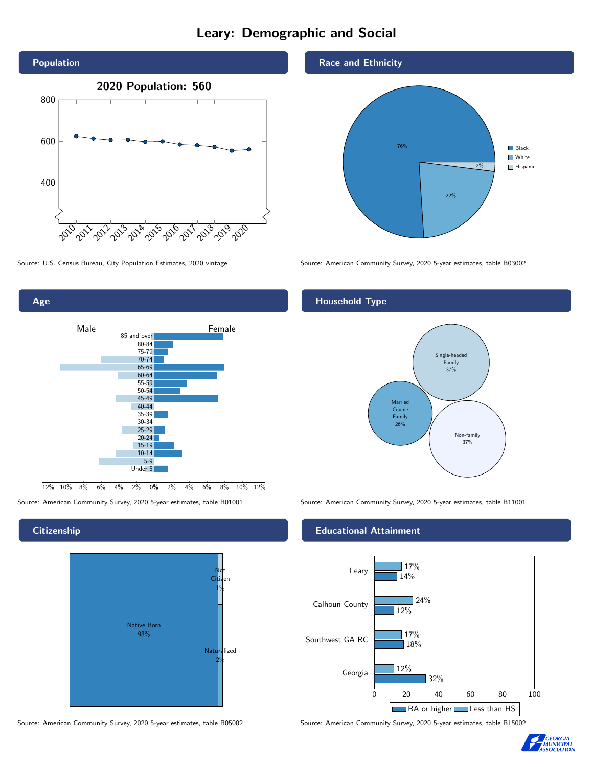# Leary: Demographic and Social





# **Citizenship**



Source: American Community Survey, 2020 5-year estimates, table B05002 Source: American Community Survey, 2020 5-year estimates, table B15002





Source: U.S. Census Bureau, City Population Estimates, 2020 vintage Source: American Community Survey, 2020 5-year estimates, table B03002

# Household Type



Source: American Community Survey, 2020 5-year estimates, table B01001 Source: American Community Survey, 2020 5-year estimates, table B11001

### Educational Attainment



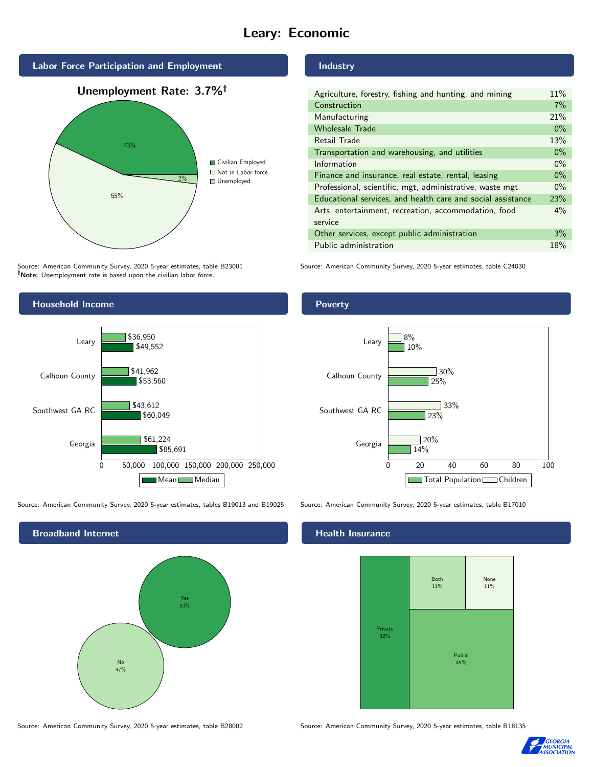# Leary: Economic



Source: American Community Survey, 2020 5-year estimates, table B23001 Note: Unemployment rate is based upon the civilian labor force.

### Industry

| Agriculture, forestry, fishing and hunting, and mining      | 11%   |
|-------------------------------------------------------------|-------|
| Construction                                                | 7%    |
| Manufacturing                                               | 21%   |
| <b>Wholesale Trade</b>                                      | $0\%$ |
| Retail Trade                                                | 13%   |
| Transportation and warehousing, and utilities               | $0\%$ |
| Information                                                 | $0\%$ |
| Finance and insurance, real estate, rental, leasing         | $0\%$ |
| Professional, scientific, mgt, administrative, waste mgt    | $0\%$ |
| Educational services, and health care and social assistance | 23%   |
| Arts, entertainment, recreation, accommodation, food        | $4\%$ |
| service                                                     |       |
| Other services, except public administration                | 3%    |
| Public administration                                       | 18%   |

Source: American Community Survey, 2020 5-year estimates, table C24030



Source: American Community Survey, 2020 5-year estimates, tables B19013 and B19025 Source: American Community Survey, 2020 5-year estimates, table B17010

Broadband Internet No 47% Yes 53%

#### Health Insurance



Source: American Community Survey, 2020 5-year estimates, table B28002 Source: American Community Survey, 2020 5-year estimates, table B18135



#### Poverty